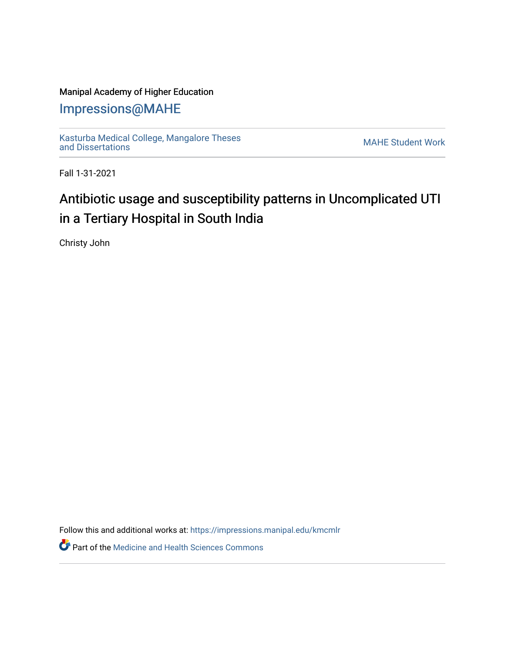## Manipal Academy of Higher Education

## [Impressions@MAHE](https://impressions.manipal.edu/)

[Kasturba Medical College, Mangalore Theses](https://impressions.manipal.edu/kmcmlr) Kasturba Medical College, Mangalore Theses<br>[and Dissertations](https://impressions.manipal.edu/kmcmlr) MAHE Student Work

Fall 1-31-2021

## Antibiotic usage and susceptibility patterns in Uncomplicated UTI in a Tertiary Hospital in South India

Christy John

Follow this and additional works at: [https://impressions.manipal.edu/kmcmlr](https://impressions.manipal.edu/kmcmlr?utm_source=impressions.manipal.edu%2Fkmcmlr%2F65&utm_medium=PDF&utm_campaign=PDFCoverPages) 

**Part of the Medicine and Health Sciences Commons**